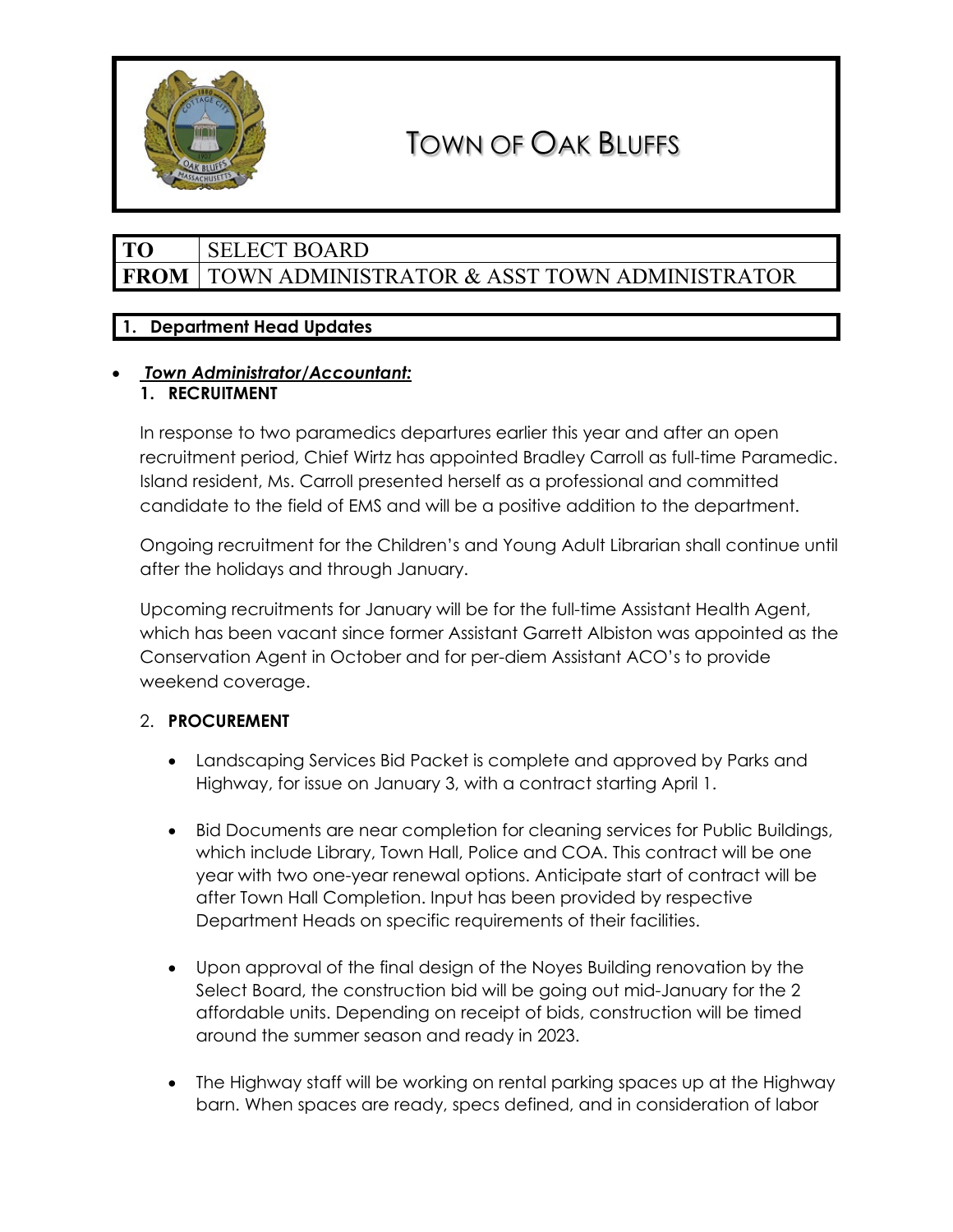

# TOWN OF OAK BLUFFS

# **TO** SELECT BOARD FROM | TOWN ADMINISTRATOR & ASST TOWN ADMINISTRATOR

# **1. Department Head Updates**

### • *Town Administrator/Accountant:*  **1. RECRUITMENT**

In response to two paramedics departures earlier this year and after an open recruitment period, Chief Wirtz has appointed Bradley Carroll as full-time Paramedic. Island resident, Ms. Carroll presented herself as a professional and committed candidate to the field of EMS and will be a positive addition to the department.

Ongoing recruitment for the Children's and Young Adult Librarian shall continue until after the holidays and through January.

Upcoming recruitments for January will be for the full-time Assistant Health Agent, which has been vacant since former Assistant Garrett Albiston was appointed as the Conservation Agent in October and for per-diem Assistant ACO's to provide weekend coverage.

# 2. **PROCUREMENT**

- Landscaping Services Bid Packet is complete and approved by Parks and Highway, for issue on January 3, with a contract starting April 1.
- Bid Documents are near completion for cleaning services for Public Buildings, which include Library, Town Hall, Police and COA. This contract will be one year with two one-year renewal options. Anticipate start of contract will be after Town Hall Completion. Input has been provided by respective Department Heads on specific requirements of their facilities.
- Upon approval of the final design of the Noyes Building renovation by the Select Board, the construction bid will be going out mid-January for the 2 affordable units. Depending on receipt of bids, construction will be timed around the summer season and ready in 2023.
- The Highway staff will be working on rental parking spaces up at the Highway barn. When spaces are ready, specs defined, and in consideration of labor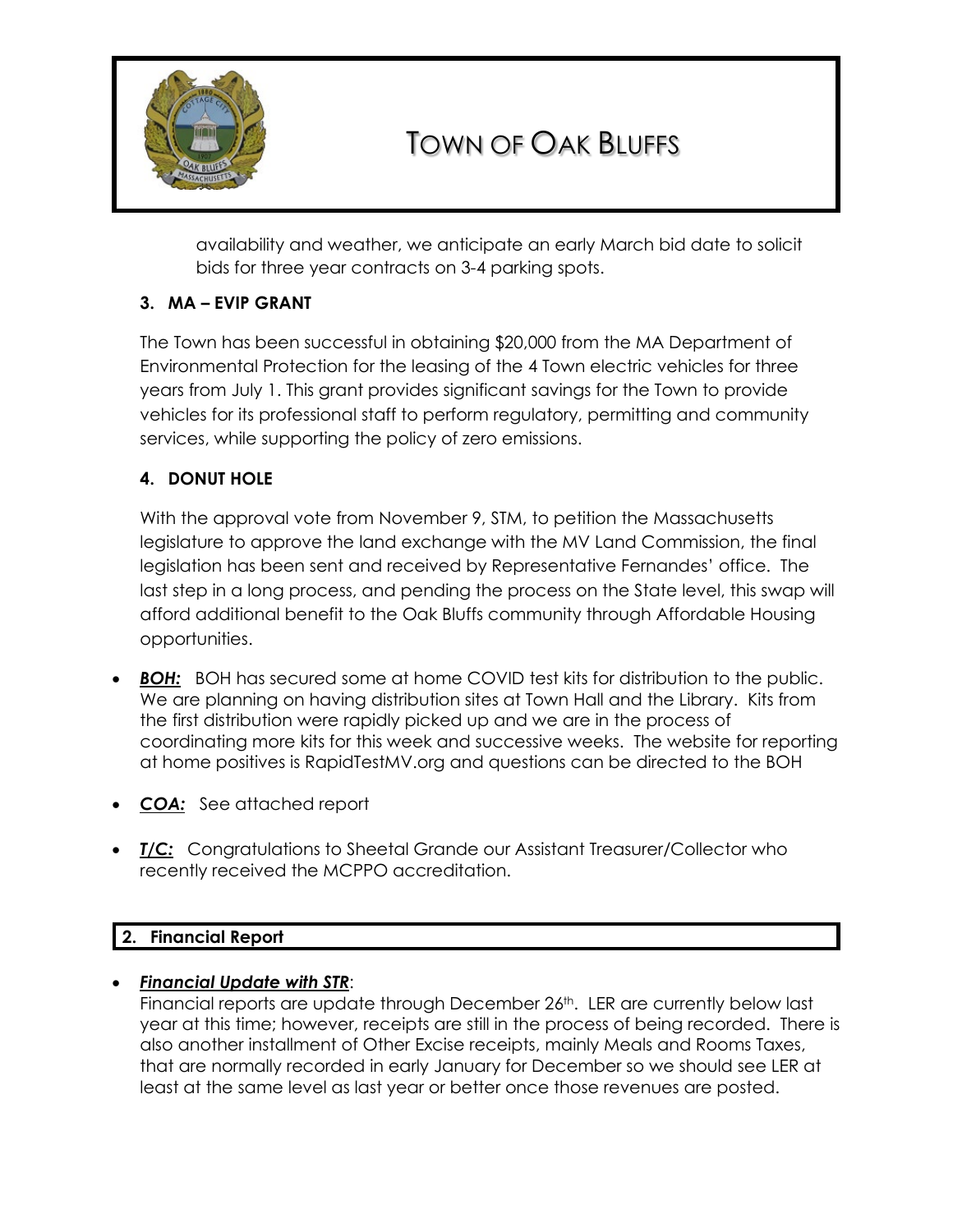

# TOWN OF OAK BLUFFS

availability and weather, we anticipate an early March bid date to solicit bids for three year contracts on 3-4 parking spots.

# **3. MA – EVIP GRANT**

The Town has been successful in obtaining \$20,000 from the MA Department of Environmental Protection for the leasing of the 4 Town electric vehicles for three years from July 1. This grant provides significant savings for the Town to provide vehicles for its professional staff to perform regulatory, permitting and community services, while supporting the policy of zero emissions.

# **4. DONUT HOLE**

With the approval vote from November 9, STM, to petition the Massachusetts legislature to approve the land exchange with the MV Land Commission, the final legislation has been sent and received by Representative Fernandes' office. The last step in a long process, and pending the process on the State level, this swap will afford additional benefit to the Oak Bluffs community through Affordable Housing opportunities.

- **BOH:** BOH has secured some at home COVID test kits for distribution to the public. We are planning on having distribution sites at Town Hall and the Library. Kits from the first distribution were rapidly picked up and we are in the process of coordinating more kits for this week and successive weeks. The website for reporting at home positives is RapidTestMV.org and questions can be directed to the BOH
- *COA:* See attached report
- *T/C:* Congratulations to Sheetal Grande our Assistant Treasurer/Collector who recently received the MCPPO accreditation.

# **2. Financial Report**

# • *Financial Update with STR*:

Financial reports are update through December 26<sup>th</sup>. LER are currently below last year at this time; however, receipts are still in the process of being recorded. There is also another installment of Other Excise receipts, mainly Meals and Rooms Taxes, that are normally recorded in early January for December so we should see LER at least at the same level as last year or better once those revenues are posted.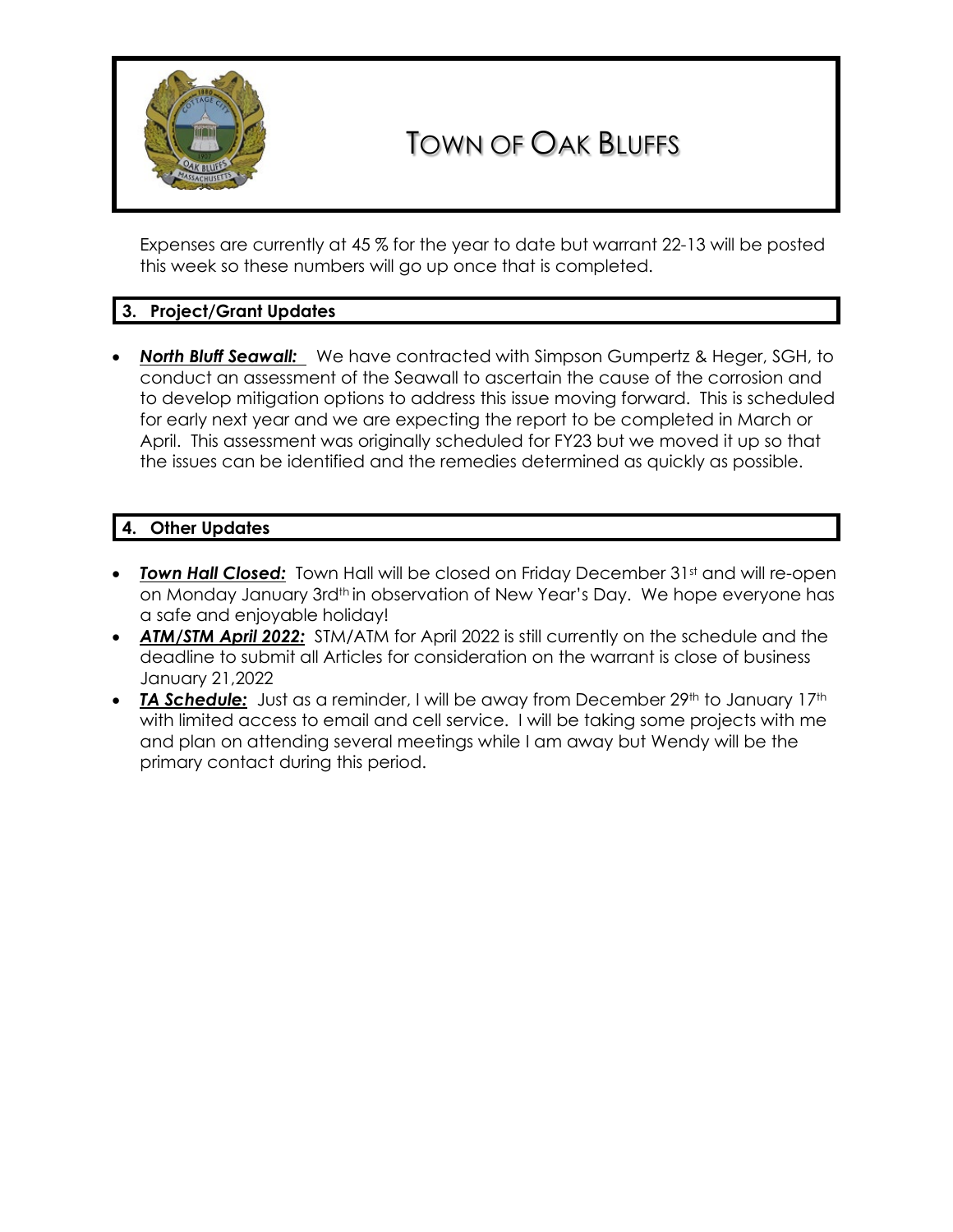

# TOWN OF OAK BLUFFS

Expenses are currently at 45 % for the year to date but warrant 22-13 will be posted this week so these numbers will go up once that is completed.

# **3. Project/Grant Updates**

• *North Bluff Seawall:* We have contracted with Simpson Gumpertz & Heger, SGH, to conduct an assessment of the Seawall to ascertain the cause of the corrosion and to develop mitigation options to address this issue moving forward. This is scheduled for early next year and we are expecting the report to be completed in March or April. This assessment was originally scheduled for FY23 but we moved it up so that the issues can be identified and the remedies determined as quickly as possible.

## **4. Other Updates**

- **Town Hall Closed:** Town Hall will be closed on Friday December 31st and will re-open on Monday January 3rd<sup>th</sup> in observation of New Year's Day. We hope everyone has a safe and enjoyable holiday!
- *ATM/STM April 2022:* STM/ATM for April 2022 is still currently on the schedule and the deadline to submit all Articles for consideration on the warrant is close of business January 21,2022
- **TA Schedule:** Just as a reminder, I will be away from December 29<sup>th</sup> to January 17<sup>th</sup> with limited access to email and cell service. I will be taking some projects with me and plan on attending several meetings while I am away but Wendy will be the primary contact during this period.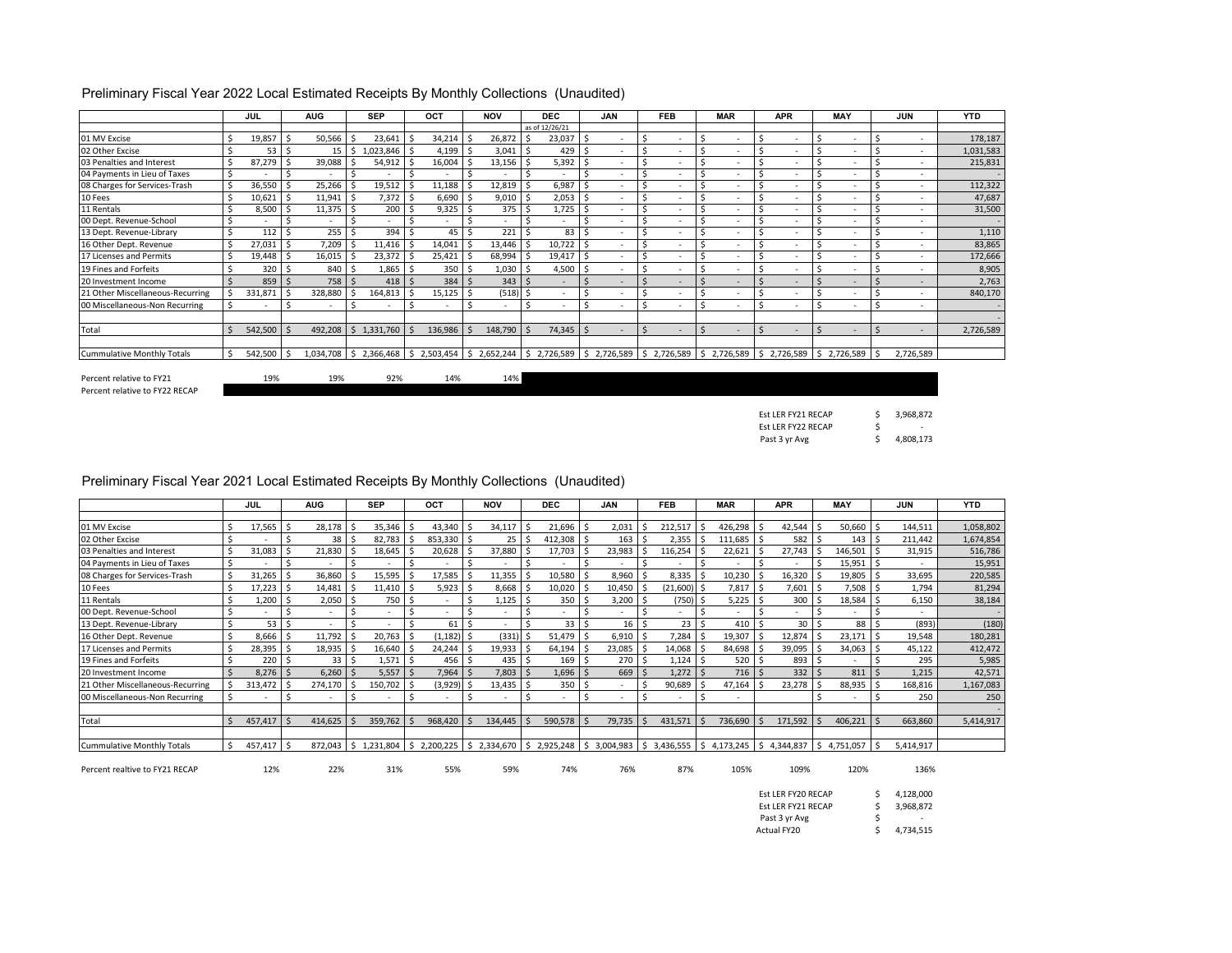|                                   | <b>JUL</b> |     | <b>AUG</b> |              | <b>SEP</b>                                                                                                                                                                            | OCT     | <b>NOV</b>               |    | <b>DEC</b>               |    | <b>JAN</b>               |   | <b>FEB</b>               |   | <b>MAR</b>               | <b>APR</b>                    |    | <b>MAY</b> | <b>JUN</b>               | <b>YTD</b> |
|-----------------------------------|------------|-----|------------|--------------|---------------------------------------------------------------------------------------------------------------------------------------------------------------------------------------|---------|--------------------------|----|--------------------------|----|--------------------------|---|--------------------------|---|--------------------------|-------------------------------|----|------------|--------------------------|------------|
|                                   |            |     |            |              |                                                                                                                                                                                       |         |                          |    | as of 12/26/21           |    |                          |   |                          |   |                          |                               |    |            |                          |            |
| 01 MV Excise                      | 19,857     |     | 50,566     |              | 23,641                                                                                                                                                                                | 34,214  | 26,872                   |    | 23,037                   | ς  |                          |   | $\overline{\phantom{a}}$ |   | $\overline{\phantom{a}}$ |                               |    |            | $\sim$                   | 178,187    |
| 02 Other Excise                   | 53         |     | 15         | -Ś           | 1,023,846                                                                                                                                                                             | 4,199   | 3,041                    |    | 429                      |    |                          |   | $\overline{\phantom{a}}$ |   |                          |                               |    |            | $\sim$                   | 1,031,583  |
| 03 Penalties and Interest         | 87,279     |     | 39,088     |              | 54,912                                                                                                                                                                                | 16,004  | 13,156                   |    | 5,392                    | .S |                          |   | $\overline{\phantom{a}}$ |   |                          |                               |    |            | $\sim$                   | 215,831    |
| 04 Payments in Lieu of Taxes      |            |     |            |              |                                                                                                                                                                                       |         |                          |    |                          |    |                          |   |                          |   |                          |                               |    |            | $\sim$                   |            |
| 08 Charges for Services-Trash     | 36,550     |     | 25,266     |              | 19,512                                                                                                                                                                                | 11,188  | 12,819                   |    | 6,987                    |    |                          |   |                          |   |                          |                               |    |            | $\overline{\phantom{a}}$ | 112,322    |
| 10 Fees                           | 10,621     | l S | 11,941     | -S           | $7,372$ \$                                                                                                                                                                            | 6,690   | 9,010                    | ιs | 2,053                    | S. | $\overline{\phantom{a}}$ |   |                          |   | $\sim$                   | $\overline{\phantom{a}}$      |    |            | $\sim$                   | 47,687     |
| 11 Rentals                        | 8,500      |     | 11,375     |              | 200                                                                                                                                                                                   | 9,325   | 375 <sup>5</sup>         |    | 1,725                    |    |                          |   | $\overline{\phantom{a}}$ |   | $\overline{\phantom{a}}$ |                               |    |            | $\sim$                   | 31,500     |
| 00 Dept. Revenue-School           |            |     | $\sim$     |              |                                                                                                                                                                                       |         |                          |    |                          |    |                          |   |                          |   |                          |                               |    |            | $\sim$                   |            |
| 13 Dept. Revenue-Library          | 112        |     | 255        |              | 394                                                                                                                                                                                   | 45      | 221                      |    | 83                       | ς  | ٠                        |   | $\overline{\phantom{a}}$ |   |                          | $\overline{\phantom{a}}$      |    |            | $\overline{\phantom{a}}$ | 1,110      |
| 16 Other Dept. Revenue            | 27,031     |     | 7,209      |              | 11,416                                                                                                                                                                                | 14,041  | 13,446                   |    | 10,722                   |    | ۰                        |   | $\overline{\phantom{a}}$ |   | $\overline{\phantom{a}}$ | $\overline{\phantom{a}}$      |    |            | $\sim$                   | 83,865     |
| 17 Licenses and Permits           | 19,448     |     | 16,015     |              | 23,372                                                                                                                                                                                | 25,421  | 68,994                   |    | 19,417                   |    |                          |   |                          |   |                          |                               |    |            | $\overline{\phantom{a}}$ | 172,666    |
| 19 Fines and Forfeits             | 320        |     | 840        |              | 1,865                                                                                                                                                                                 | 350     | 1,030                    |    | 4,500                    |    | ۰                        |   | $\overline{\phantom{a}}$ |   | $\overline{\phantom{a}}$ | $\sim$                        |    |            | $\sim$                   | 8,905      |
| 20 Investment Income              | 859        |     | 758        |              | 418                                                                                                                                                                                   | 384     | $343 \,$ \$              |    | $\overline{a}$           | Ś  | ۰                        |   | $\overline{a}$           |   | $\sim$                   | $\overline{a}$                |    |            | $\sim$                   | 2,763      |
| 21 Other Miscellaneous-Recurring  | 331,871    |     | 328,880    |              | 164,813                                                                                                                                                                               | 15,125  | (518)                    |    | $\overline{\phantom{a}}$ |    | ۰                        |   | $\overline{\phantom{a}}$ |   | $\sim$                   | $\sim$                        |    |            | $\sim$                   | 840,170    |
| 00 Miscellaneous-Non Recurring    |            |     | $\sim$     |              |                                                                                                                                                                                       |         | $\overline{\phantom{a}}$ |    | $\overline{\phantom{a}}$ |    | ۰                        |   | $\overline{\phantom{a}}$ |   | $\overline{\phantom{a}}$ |                               |    |            | $\sim$                   |            |
|                                   |            |     |            |              |                                                                                                                                                                                       |         |                          |    |                          |    |                          |   |                          |   |                          |                               |    |            |                          |            |
| Total                             | 542,500    |     | 492,208    | $\mathsf{S}$ | 1,331,760                                                                                                                                                                             | 136,986 | 148,790                  |    | 74,345                   | Ŝ. | ۰                        | S | $\overline{a}$           | Ś | $\overline{a}$           | $\overline{a}$                | -S |            | $\overline{\phantom{a}}$ | 2,726,589  |
| <b>Cummulative Monthly Totals</b> | 542,500 \$ |     | 1,034,708  |              | $\frac{1}{2}$ , 2,366,468 $\frac{1}{2}$ , 2,503,454 $\frac{1}{2}$ , 2,652,244 $\frac{1}{2}$ , 2,726,589 $\frac{1}{2}$ , 2,726,589 $\frac{1}{2}$ , 2,726,589 $\frac{1}{2}$ , 2,726,589 |         |                          |    |                          |    |                          |   |                          |   |                          | $\frac{1}{2}$ \$ 2,726,589 \$ |    | 2,726,589  | 2,726,589                |            |

### Preliminary Fiscal Year 2022 Local Estimated Receipts By Monthly Collections (Unaudited)

Percent relative to FY22 RECAP

Percent relative to FY21 19% 19% 19% 92% 14% 14% 14%

\$ 3,968,872  $\mathsf{S}$  -\$ 4,808,173 Est LER FY21 RECAP Est LER FY22 RECAP Past 3 yr Avg

### Preliminary Fiscal Year 2021 Local Estimated Receipts By Monthly Collections (Unaudited)

|                                   |     | JUL     | <b>AUG</b>               |     | <b>SEP</b>             |    | OCT      | <b>NOV</b>                                          |     | <b>DEC</b>               |    | <b>JAN</b>               | <b>FEB</b>      | <b>MAR</b>                        |    | <b>APR</b> |       | <b>MAY</b>   |     | <b>JUN</b> | <b>YTD</b> |
|-----------------------------------|-----|---------|--------------------------|-----|------------------------|----|----------|-----------------------------------------------------|-----|--------------------------|----|--------------------------|-----------------|-----------------------------------|----|------------|-------|--------------|-----|------------|------------|
|                                   |     |         |                          |     |                        |    |          |                                                     |     |                          |    |                          |                 |                                   |    |            |       |              |     |            |            |
| 01 MV Excise                      |     | 17,565  | 28,178                   |     | 35,346                 |    | 43,340   | 34,117                                              |     | 21,696                   | S, | 2,031                    | 212,517         | 426,298                           |    | 42,544     |       | 50,660       |     | 144,511    | 1,058,802  |
| 02 Other Excise                   |     |         | 38                       | ı s | 82,783                 |    | 853,330  | $25$ $\overline{\phantom{1}}$                       |     | 412,308                  |    | 163                      | 2,355           | 111,685                           |    | 582        |       | $143 \mid 5$ |     | 211,442    | 1,674,854  |
| 03 Penalties and Interest         |     | 31,083  | 21,830                   |     | 18,645                 |    | 20,628   | 37,880                                              |     | 17,703                   |    | 23,983                   | 116,254         | 22,621                            |    | 27.743     |       | 146,501      |     | 31,915     | 516,786    |
| 04 Payments in Lieu of Taxes      | Ś   |         |                          |     |                        |    |          |                                                     |     |                          |    |                          |                 |                                   |    |            |       | 15,951       |     | $\sim$     | 15,951     |
| 08 Charges for Services-Trash     | Ś   | 31,265  | 36,860                   |     | 15,595                 |    | 17,585   | 11,355                                              |     | 10,580                   |    | 8,960                    | 8,335           | 10,230                            |    | 16,320     |       | 19,805       |     | 33,695     | 220,585    |
| 10 Fees                           | Ś   | 17,223  | 14,481                   |     | 11,410                 | S  | 5,923    | 8,668 \$                                            |     | 10,020                   |    | 10,450                   | (21,600) \$     | 7,817                             | -S | 7,601      |       | 7,508        |     | 1,794      | 81,294     |
| 11 Rentals                        |     | 1,200   | 2,050                    |     | 750                    | Ś  |          | 1,125                                               |     | 350                      |    | 3,200                    | (750) \$        | 5,225                             |    | 300        |       | 18,584       |     | 6,150      | 38,184     |
| 00 Dept. Revenue-School           |     |         |                          |     |                        |    |          |                                                     |     |                          |    |                          |                 |                                   |    |            |       |              |     | $\sim$     |            |
| 13 Dept. Revenue-Library          |     | 53      |                          |     |                        |    | 61       |                                                     |     | 33 <sup>1</sup>          |    | 16                       | 23 <sup>1</sup> | 410                               |    | 30         |       | 88           |     | (893)      | (180)      |
| 16 Other Dept. Revenue            | Ś   | 8,666   | 11,792                   |     | 20,763                 |    | (1, 182) | $(331)$ \$                                          |     | 51,479                   |    | 6,910                    | 7,284           | 19,307                            |    | 12,874     |       | 23,171       |     | 19,548     | 180,281    |
| 17 Licenses and Permits           |     | 28,395  | 18,935                   |     | 16,640                 |    | 24,244   | 19,933                                              | l S | 64,194                   |    | 23,085                   | 14,068 \$       | 84,698                            |    | 39,095     |       | 34,063       |     | 45,122     | 412,472    |
| 19 Fines and Forfeits             |     | 220     | 33                       | ιs  | 1,571                  | -S | 456      | $435$ $\frac{1}{5}$                                 |     | 169                      | S  | 270                      | 1,124           | 520                               |    | 893        |       |              |     | 295        | 5,985      |
| 20 Investment Income              |     | 8,276   | 6,260                    |     | 5,557                  |    | 7,964    | 7,803                                               |     | 1,696                    |    | 669                      | 1,272           | 716                               |    | 332        |       | 811          |     | 1,215      | 42,571     |
| 21 Other Miscellaneous-Recurring  |     | 313,472 | 274,170                  |     | 150,702                |    | (3,929)  | $13,435$ \$                                         |     | 350                      | S  |                          | 90,689          | 47,164                            |    | 23,278     |       | 88,935       |     | 168,816    | 1,167,083  |
| 00 Miscellaneous-Non Recurring    | Ŝ.  |         | $\overline{\phantom{a}}$ |     |                        |    |          |                                                     | .S  | $\overline{\phantom{a}}$ |    | $\overline{\phantom{a}}$ |                 |                                   |    |            |       |              |     | 250        | 250        |
|                                   |     |         |                          |     |                        |    |          |                                                     |     |                          |    |                          |                 |                                   |    |            |       |              |     |            |            |
| Total                             |     | 457,417 | 414,625                  |     | 359,762                |    | 968,420  | 134,445                                             |     | 590,578                  |    | 79,735                   | 431,571         | 736,690                           |    | 171,592    |       | 406,221      |     | 663,860    | 5,414,917  |
|                                   |     |         |                          |     |                        |    |          |                                                     |     |                          |    |                          |                 |                                   |    |            |       |              |     |            |            |
| <b>Cummulative Monthly Totals</b> | \$. | 457,417 | 872,043                  | I S | 1,231,804 \$ 2,200,225 |    |          | $\frac{1}{2}$ , 2,334,670 $\frac{1}{2}$ , 2,925,248 |     |                          |    | \$3,004,983              |                 | 3,436,555 \$4,173,245 \$4,344,837 |    |            | 'I \$ | 4,751,057    | l S | 5,414,917  |            |

Percent realtive to FY21 RECAP 12% 22% 31% 55% 59% 74% 76% 87% 105% 109% 120% 136%

| Est LER FY20 RECAP | S | 4.128.000 |
|--------------------|---|-----------|
| Est LER FY21 RECAP | ς | 3.968.872 |
|                    |   |           |
| Past 3 yr Avg      | S | ٠         |
| Actual FY20        |   | 4,734,515 |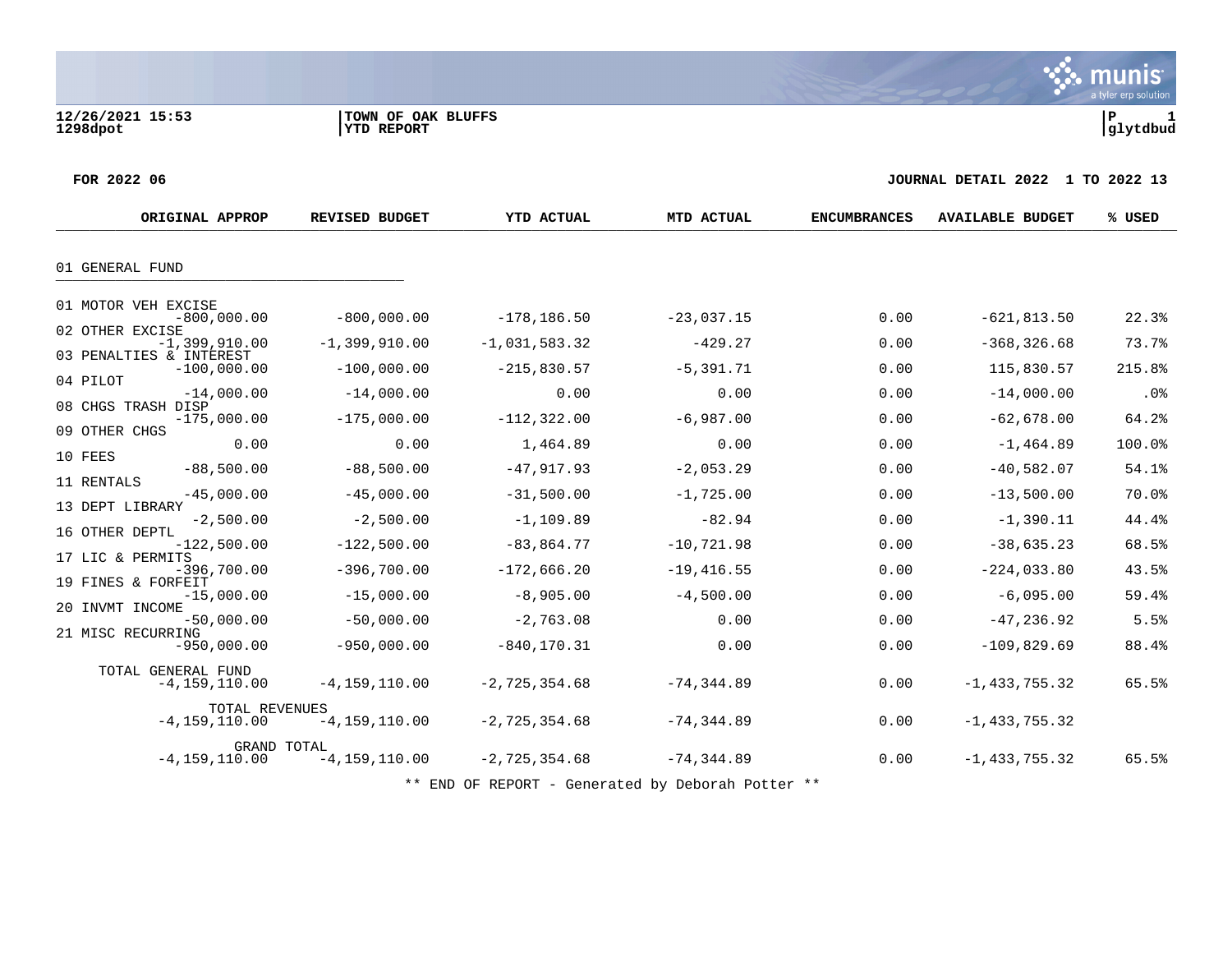munis a tyler erp solution

**FOR 2022 06 JOURNAL DETAIL 2022 1 TO 2022 13**

| ORIGINAL APPROP                                                         | <b>REVISED BUDGET</b>                  | YTD ACTUAL                             | MTD ACTUAL                     | <b>ENCUMBRANCES</b> | <b>AVAILABLE BUDGET</b>            | % USED          |
|-------------------------------------------------------------------------|----------------------------------------|----------------------------------------|--------------------------------|---------------------|------------------------------------|-----------------|
| 01 GENERAL FUND                                                         |                                        |                                        |                                |                     |                                    |                 |
| 01 MOTOR VEH EXCISE<br>$-800,000.00$<br>02 OTHER EXCISE                 | $-800,000,00$                          | $-178, 186.50$                         | $-23,037.15$                   | 0.00                | $-621, 813.50$                     | 22.3%           |
| $-1,399,910.00$<br>03 PENALTIES & INTEREST<br>$-100,000.00$<br>04 PILOT | $-1,399,910.00$<br>$-100,000.00$       | $-1,031,583.32$<br>$-215,830.57$       | $-429.27$<br>$-5, 391.71$      | 0.00<br>0.00        | $-368, 326.68$<br>115,830.57       | 73.7%<br>215.8% |
| $-14,000.00$<br>08 CHGS TRASH DISP<br>$-175,000.00$<br>09 OTHER CHGS    | $-14,000.00$<br>$-175,000.00$          | 0.00<br>$-112, 322.00$                 | 0.00<br>$-6,987.00$            | 0.00<br>0.00        | $-14,000.00$<br>$-62,678.00$       | .0%<br>64.2%    |
| 0.00<br>10 FEES<br>$-88,500.00$                                         | 0.00<br>$-88,500.00$                   | 1,464.89<br>$-47,917.93$               | 0.00<br>$-2,053.29$            | 0.00<br>0.00        | $-1, 464.89$<br>$-40,582.07$       | 100.0%<br>54.1% |
| 11 RENTALS<br>$-45,000.00$<br>13 DEPT LIBRARY<br>$-2,500.00$            | $-45,000.00$<br>$-2,500.00$            | $-31,500.00$<br>$-1, 109.89$           | $-1,725.00$<br>$-82.94$        | 0.00<br>0.00        | $-13,500.00$<br>$-1,390.11$        | 70.0%<br>44.4%  |
| 16 OTHER DEPTL<br>$-122,500.00$<br>17 LIC & PERMITS<br>$-396,700.00$    | $-122,500.00$<br>$-396,700.00$         | $-83, 864.77$<br>$-172,666.20$         | $-10, 721.98$<br>$-19,416.55$  | 0.00<br>0.00        | $-38,635.23$<br>$-224,033.80$      | 68.5%<br>43.5%  |
| 19 FINES & FORFEIT<br>$-15,000.00$<br>20 INVMT INCOME<br>$-50,000.00$   | $-15,000.00$<br>$-50,000.00$           | $-8,905.00$<br>$-2,763.08$             | $-4,500.00$<br>0.00            | 0.00<br>0.00        | $-6,095.00$<br>$-47, 236.92$       | 59.4%<br>5.5%   |
| 21 MISC RECURRING<br>$-950,000.00$<br>TOTAL GENERAL FUND                | $-950,000.00$                          | $-840, 170.31$                         | 0.00                           | 0.00                | $-109,829.69$                      | 88.4%           |
| $-4,159,110.00$<br>TOTAL REVENUES<br>$-4, 159, 110.00$                  | $-4, 159, 110.00$<br>$-4, 159, 110.00$ | $-2, 725, 354.68$<br>$-2, 725, 354.68$ | $-74, 344.89$<br>$-74, 344.89$ | 0.00<br>0.00        | $-1,433,755.32$<br>$-1,433,755.32$ | 65.5%           |
| GRAND TOTAL<br>$-4, 159, 110.00$                                        | $-4, 159, 110.00$                      | $-2, 725, 354.68$                      | $-74, 344.89$                  | 0.00                | $-1, 433, 755.32$                  | 65.5%           |

\*\* END OF REPORT - Generated by Deborah Potter \*\*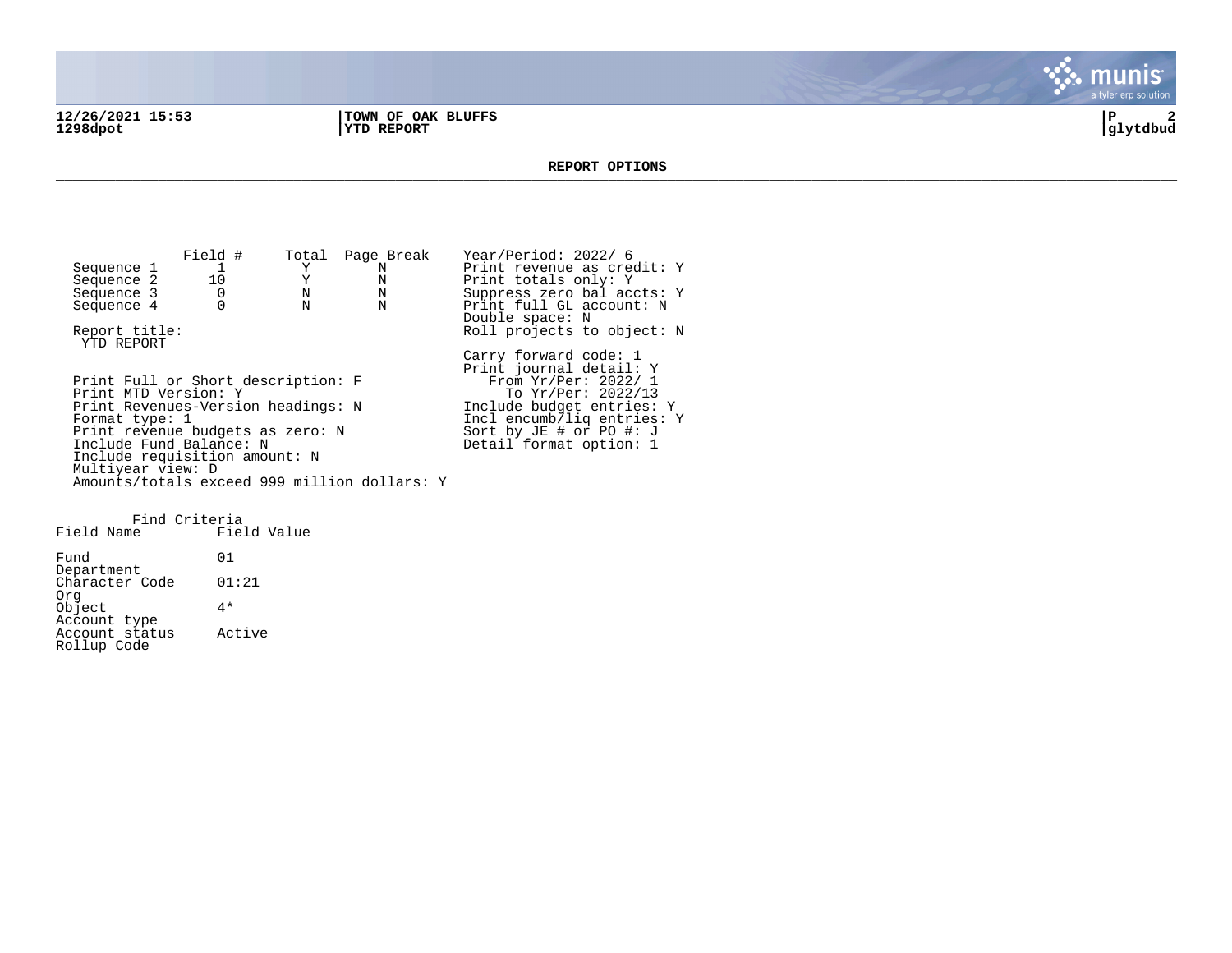**12/26/2021 15:53 |TOWN OF OAK BLUFFS |P 2**

**1298dpot |YTD REPORT |glytdbud**



#### **REPORT OPTIONS**  \_\_\_\_\_\_\_\_\_\_\_\_\_\_\_\_\_\_\_\_\_\_\_\_\_\_\_\_\_\_\_\_\_\_\_\_\_\_\_\_\_\_\_\_\_\_\_\_\_\_\_\_\_\_\_\_\_\_\_\_\_\_\_\_\_\_\_\_\_\_\_\_\_\_\_\_\_\_\_\_\_\_\_\_\_\_\_\_\_\_\_\_\_\_\_\_\_\_\_\_\_\_\_\_\_\_\_\_\_\_\_\_\_\_\_\_\_\_\_\_\_\_\_\_\_\_\_\_\_\_\_\_

Field # Total Page Break Year/Period: 2022/ 6<br>1 Y N Print revenue as cree Sequence 1 1 Y N Print revenue as credit: Y<br>
Sequence 2 10 Y N Print totals only: Y Sequence 2 10 Y N Print totals only: Y<br>Sequence 3 0 N N Suppress zero balaco Sequence 3 0 0 N N Suppress zero bal accts: Y<br>Sequence 4 0 N N Print full GL account: N Print full GL account: N Double space: N Report title:  $Rol1$  projects to object: N YTD REPORT Carry forward code: 1 Print journal detail: Y Print Full or Short description: F<br>Print MTD Version: Y Print MTD Version: Y The Second To Yr/Per: 2022/13 Print Revenues-Version headings: N 1nclude budget entries: Y<br>Format type: 1 1ncl encumb/liq entries: Incl encumb/liq entries: Y<br>Sort by JE # or PO #: J Print revenue budgets as zero: N Sort by JE # or PO #: J Include Fund Balance: N New York Beasing Detail format option: 1 Include requisition amount: N Multiyear view: D Amounts/totals exceed 999 million dollars: Y

Find Criteria Field Name Fund 01 Department Character Code 01:21 Org Object 4\* Account type Account status Active Rollup Code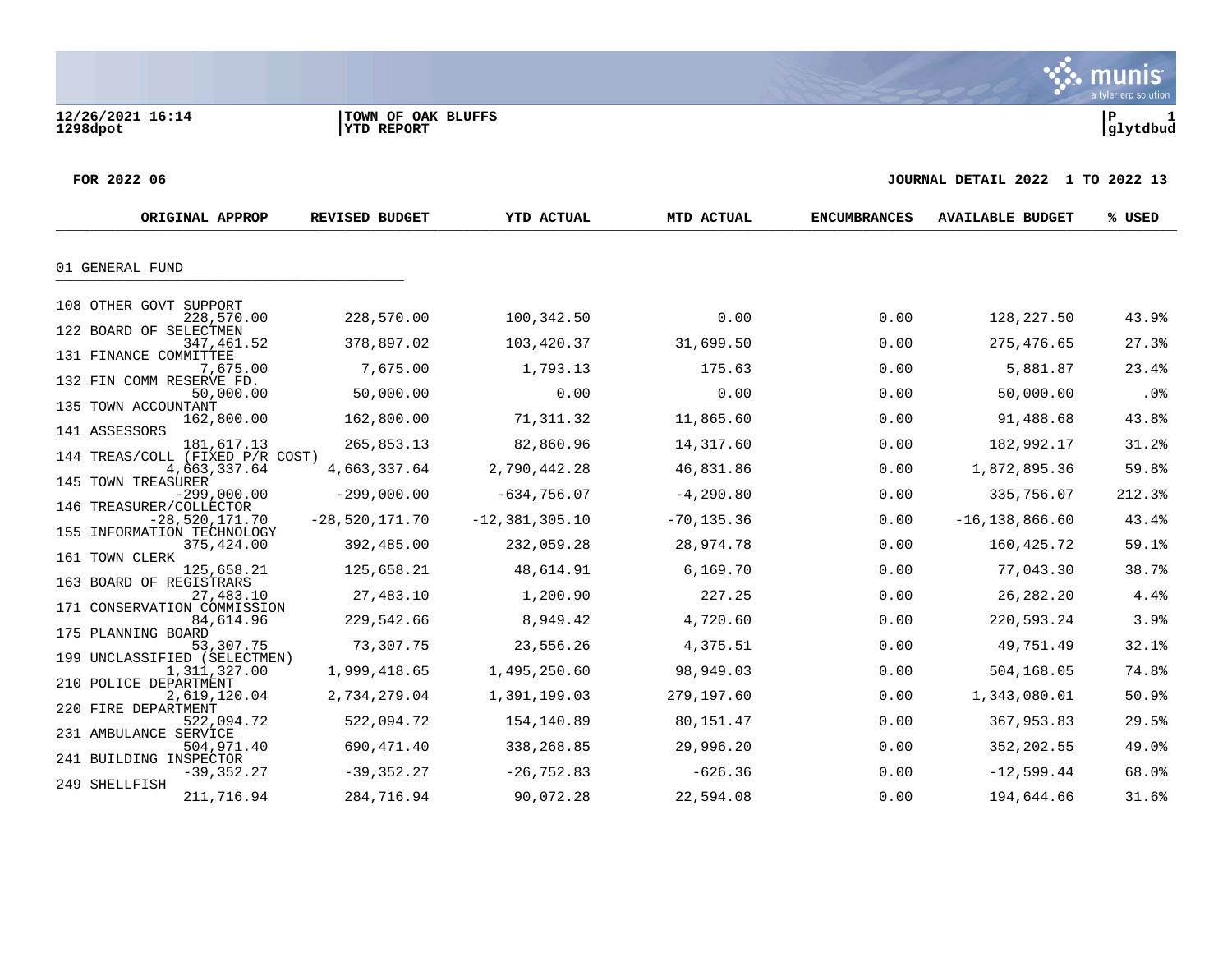#### **FOR 2022 06 JOURNAL DETAIL 2022 1 TO 2022 13**

| ORIGINAL APPROP                      |                  | <b>REVISED BUDGET</b> | <b>YTD ACTUAL</b>  | MTD ACTUAL    | <b>ENCUMBRANCES</b> | <b>AVAILABLE BUDGET</b> | % USED     |
|--------------------------------------|------------------|-----------------------|--------------------|---------------|---------------------|-------------------------|------------|
| 01 GENERAL FUND                      |                  |                       |                    |               |                     |                         |            |
|                                      |                  |                       |                    |               |                     |                         |            |
| 108 OTHER GOVT SUPPORT               | 228,570.00       | 228,570.00            | 100,342.50         | 0.00          | 0.00                | 128,227.50              | 43.9%      |
| 122 BOARD OF SELECTMEN               | 347,461.52       | 378,897.02            | 103,420.37         | 31,699.50     | 0.00                | 275,476.65              | 27.3%      |
| 131 FINANCE COMMITTEE                | 7,675.00         | 7,675.00              | 1,793.13           | 175.63        | 0.00                | 5,881.87                | 23.4%      |
| 132 FIN COMM RESERVE FD.             | 50,000.00        | 50,000.00             | 0.00               | 0.00          | 0.00                | 50,000.00               | .0%        |
| 135 TOWN ACCOUNTANT<br>141 ASSESSORS | 162,800.00       | 162,800.00            | 71,311.32          | 11,865.60     | 0.00                | 91,488.68               | 43.8%      |
|                                      | 181,617.13       | 265,853.13            | 82,860.96          | 14,317.60     | 0.00                | 182,992.17              | 31.2%      |
| 144 TREAS/COLL (FIXED P/R COST)      | 4,663,337.64     | 4,663,337.64          | 2,790,442.28       | 46,831.86     | 0.00                | 1,872,895.36            | 59.8%      |
| 145 TOWN TREASURER                   | $-299.000.00$    | $-299,000.00$         | $-634,756.07$      | $-4, 290.80$  | 0.00                | 335,756.07              | 212.3%     |
| 146 TREASURER/COLLECTOR              | $-28,520,171.70$ | $-28,520,171.70$      | $-12, 381, 305.10$ | $-70, 135.36$ | 0.00                | $-16, 138, 866.60$      | 43.4%      |
| 155 INFORMATION TECHNOLOGY           | 375,424.00       | 392,485.00            | 232,059.28         | 28,974.78     | 0.00                | 160,425.72              | $59.1$ $%$ |
| 161 TOWN CLERK                       | 125,658.21       | 125,658.21            | 48,614.91          | 6,169.70      | 0.00                | 77,043.30               | 38.7%      |
| 163 BOARD OF REGISTRARS              | 27,483.10        | 27,483.10             | 1,200.90           | 227.25        | 0.00                | 26, 282. 20             | 4.4%       |
| 171 CONSERVATION COMMISSION          | 84,614.96        | 229,542.66            | 8,949.42           | 4,720.60      | 0.00                | 220,593.24              | 3.9%       |
| 175 PLANNING BOARD                   | 53,307.75        | 73,307.75             | 23,556.26          | 4,375.51      | 0.00                | 49,751.49               | 32.1%      |
| 199 UNCLASSIFIED (SELECTMEN)         | 1,311,327.00     | 1,999,418.65          | 1,495,250.60       | 98,949.03     | 0.00                | 504,168.05              | 74.8%      |
| 210 POLICE DEPARTMENT                | 2,619,120.04     | 2,734,279.04          | 1,391,199.03       | 279,197.60    | 0.00                | 1,343,080.01            | 50.9%      |
| 220 FIRE DEPARTMENT                  | 522,094.72       | 522,094.72            | 154,140.89         | 80,151.47     | 0.00                | 367,953.83              | 29.5%      |
| 231 AMBULANCE SERVICE                | 504,971.40       | 690,471.40            | 338,268.85         | 29,996.20     | 0.00                | 352,202.55              | 49.0%      |
| 241 BUILDING INSPECTOR               | $-39, 352.27$    | $-39, 352, 27$        | $-26, 752.83$      | $-626.36$     | 0.00                | $-12,599.44$            | 68.0%      |
| 249 SHELLFISH                        | 211,716.94       | 284,716.94            | 90,072.28          | 22,594.08     | 0.00                | 194,644.66              | 31.6%      |

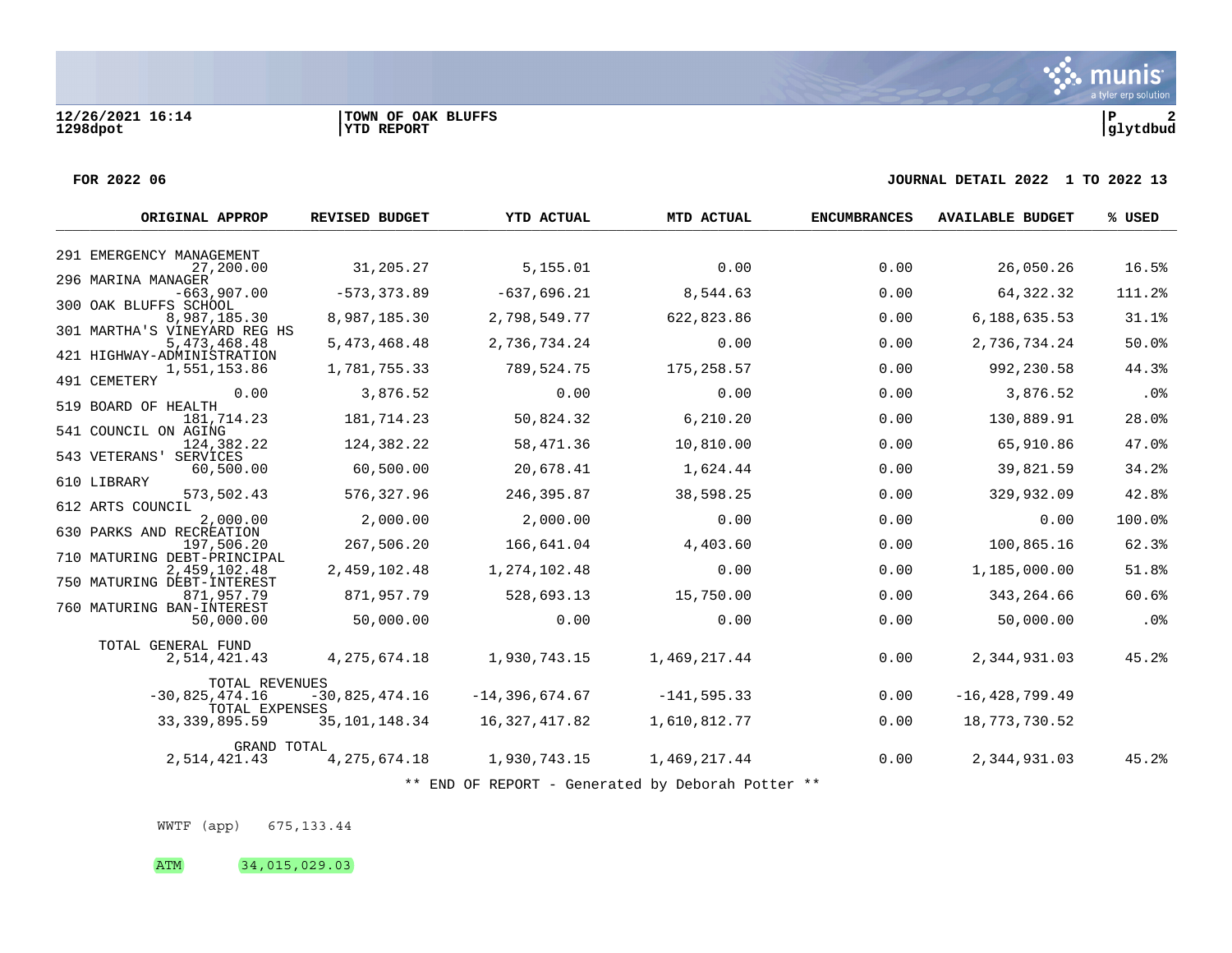#### **FOR 2022 06 JOURNAL DETAIL 2022 1 TO 2022 13**

| ORIGINAL APPROP                              | <b>REVISED BUDGET</b> | YTD ACTUAL         | MTD ACTUAL     | <b>ENCUMBRANCES</b> | <b>AVAILABLE BUDGET</b> | % USED |
|----------------------------------------------|-----------------------|--------------------|----------------|---------------------|-------------------------|--------|
| 291 EMERGENCY MANAGEMENT                     |                       |                    |                |                     |                         |        |
| 27,200.00                                    | 31,205.27             | 5,155.01           | 0.00           | 0.00                | 26,050.26               | 16.5%  |
| 296 MARINA MANAGER<br>$-663,907.00$          | $-573, 373.89$        | $-637,696.21$      | 8,544.63       | 0.00                | 64,322.32               | 111.2% |
| 300 OAK BLUFFS SCHOOL<br>8,987,185.30        | 8,987,185.30          | 2,798,549.77       | 622,823.86     | 0.00                | 6,188,635.53            | 31.1%  |
| 301 MARTHA'S VINEYARD REG HS<br>5,473,468.48 | 5,473,468.48          | 2,736,734.24       | 0.00           | 0.00                | 2,736,734.24            | 50.0%  |
| 421 HIGHWAY-ADMINISTRATION<br>1,551,153.86   | 1,781,755.33          | 789,524.75         | 175,258.57     | 0.00                | 992,230.58              | 44.3%  |
| 491 CEMETERY<br>0.00                         | 3,876.52              | 0.00               | 0.00           | 0.00                | 3,876.52                | .0%    |
| 519 BOARD OF HEALTH                          |                       |                    |                |                     |                         |        |
| 181,714.23<br>541 COUNCIL ON AGING           | 181,714.23            | 50,824.32          | 6,210.20       | 0.00                | 130,889.91              | 28.0%  |
| 124,382.22<br>543 VETERANS'<br>SERVICES      | 124,382.22            | 58,471.36          | 10,810.00      | 0.00                | 65,910.86               | 47.0%  |
| 60,500.00                                    | 60,500.00             | 20,678.41          | 1,624.44       | 0.00                | 39,821.59               | 34.2%  |
| 610 LIBRARY<br>573,502.43                    | 576,327.96            | 246,395.87         | 38,598.25      | 0.00                | 329,932.09              | 42.8%  |
| 612 ARTS COUNCIL<br>2,000.00                 | 2,000.00              | 2,000.00           | 0.00           | 0.00                | 0.00                    | 100.0% |
| 630 PARKS AND RECREATION<br>197,506.20       | 267,506.20            | 166,641.04         | 4,403.60       | 0.00                | 100,865.16              | 62.3%  |
| 710 MATURING DEBT-PRINCIPAL<br>2,459,102.48  | 2,459,102.48          | 1,274,102.48       | 0.00           | 0.00                | 1,185,000.00            | 51.8%  |
| 750 MATURING DEBT-INTEREST<br>871,957.79     | 871,957.79            | 528,693.13         | 15,750.00      | 0.00                | 343, 264.66             | 60.6%  |
| 760 MATURING BAN-INTEREST<br>50,000.00       | 50,000.00             | 0.00               | 0.00           | 0.00                | 50,000.00               | .0%    |
| TOTAL GENERAL FUND                           |                       |                    |                |                     |                         |        |
| 2,514,421.43                                 | 4, 275, 674. 18       | 1,930,743.15       | 1,469,217.44   | 0.00                | 2,344,931.03            | 45.2%  |
| <b>TOTAL REVENUES</b><br>$-30,825,474.16$    | $-30,825,474.16$      | $-14, 396, 674.67$ | $-141, 595.33$ | 0.00                | $-16, 428, 799.49$      |        |
| TOTAL EXPENSES                               |                       |                    |                |                     |                         |        |
| 33, 339, 895.59                              | 35, 101, 148. 34      | 16,327,417.82      | 1,610,812.77   | 0.00                | 18,773,730.52           |        |
| GRAND TOTAL<br>2,514,421.43                  | 4,275,674.18          | 1,930,743.15       | 1,469,217.44   | 0.00                | 2,344,931.03            | 45.2%  |
|                                              |                       |                    |                |                     |                         |        |

\*\* END OF REPORT - Generated by Deborah Potter \*\*

WWTF (app) 675,133.44

ATM 34,015,029.03

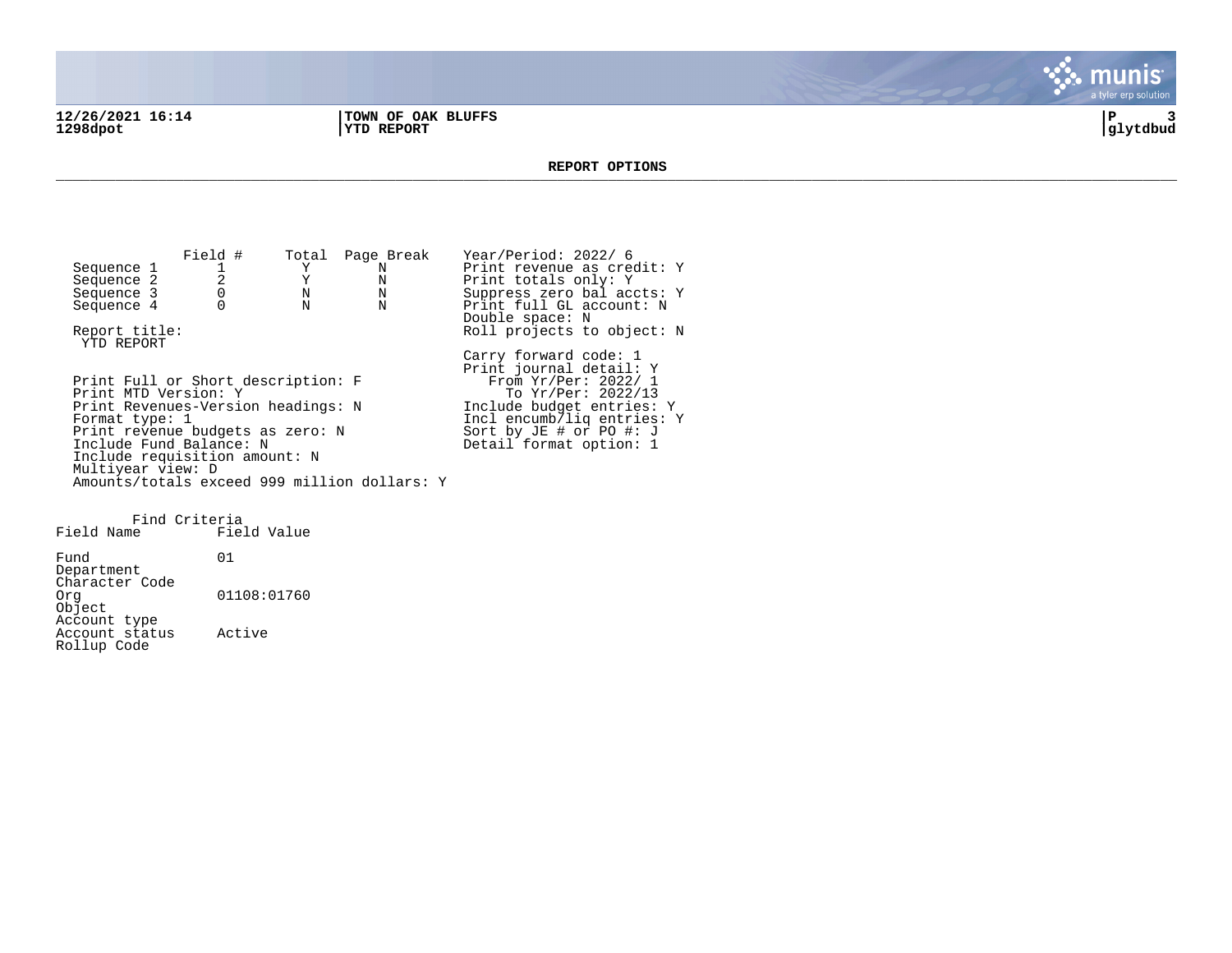**12/26/2021 16:14 |TOWN OF OAK BLUFFS |P 3 1298dpot |YTD REPORT |glytdbud**



#### **REPORT OPTIONS**  \_\_\_\_\_\_\_\_\_\_\_\_\_\_\_\_\_\_\_\_\_\_\_\_\_\_\_\_\_\_\_\_\_\_\_\_\_\_\_\_\_\_\_\_\_\_\_\_\_\_\_\_\_\_\_\_\_\_\_\_\_\_\_\_\_\_\_\_\_\_\_\_\_\_\_\_\_\_\_\_\_\_\_\_\_\_\_\_\_\_\_\_\_\_\_\_\_\_\_\_\_\_\_\_\_\_\_\_\_\_\_\_\_\_\_\_\_\_\_\_\_\_\_\_\_\_\_\_\_\_\_\_

Field # Total Page Break Year/Period: 2022/ 6<br>1 Y N Print revenue as cree Sequence 1 1  $Y$  N Print revenue as credit: Y<br>Sequence 2 2 Y N Print totals only: Y Sequence 2 2 2 Y N Print totals only: Y<br>Sequence 3 0 N N Suppress zero bal acc Sequence 3 0 0 N N Suppress zero bal accts: Y<br>Sequence 4 0 N N Print full GL account: N Print full GL account: N Double space: N Report title:  $Rol1$  projects to object: N YTD REPORT Carry forward code: 1 Print journal detail: Y Print Full or Short description: F<br>Print MTD Version: Y Print MTD Version: Y The Second To Yr/Per: 2022/13 Print Revenues-Version headings: N 1nclude budget entries: Y<br>Format type: 1 1ncl encumb/liq entries: Incl encumb/liq entries: Y<br>Sort by JE # or PO #: J Print revenue budgets as zero: N Sort by JE # or PO #: J Include Fund Balance: N New York Beasing Detail format option: 1 Include requisition amount: N Multiyear view: D Amounts/totals exceed 999 million dollars: Y Find Criteria Field Name

Fund 01 Department Character Code<br>Org 01108:01760 Object Account type Account status Active Rollup Code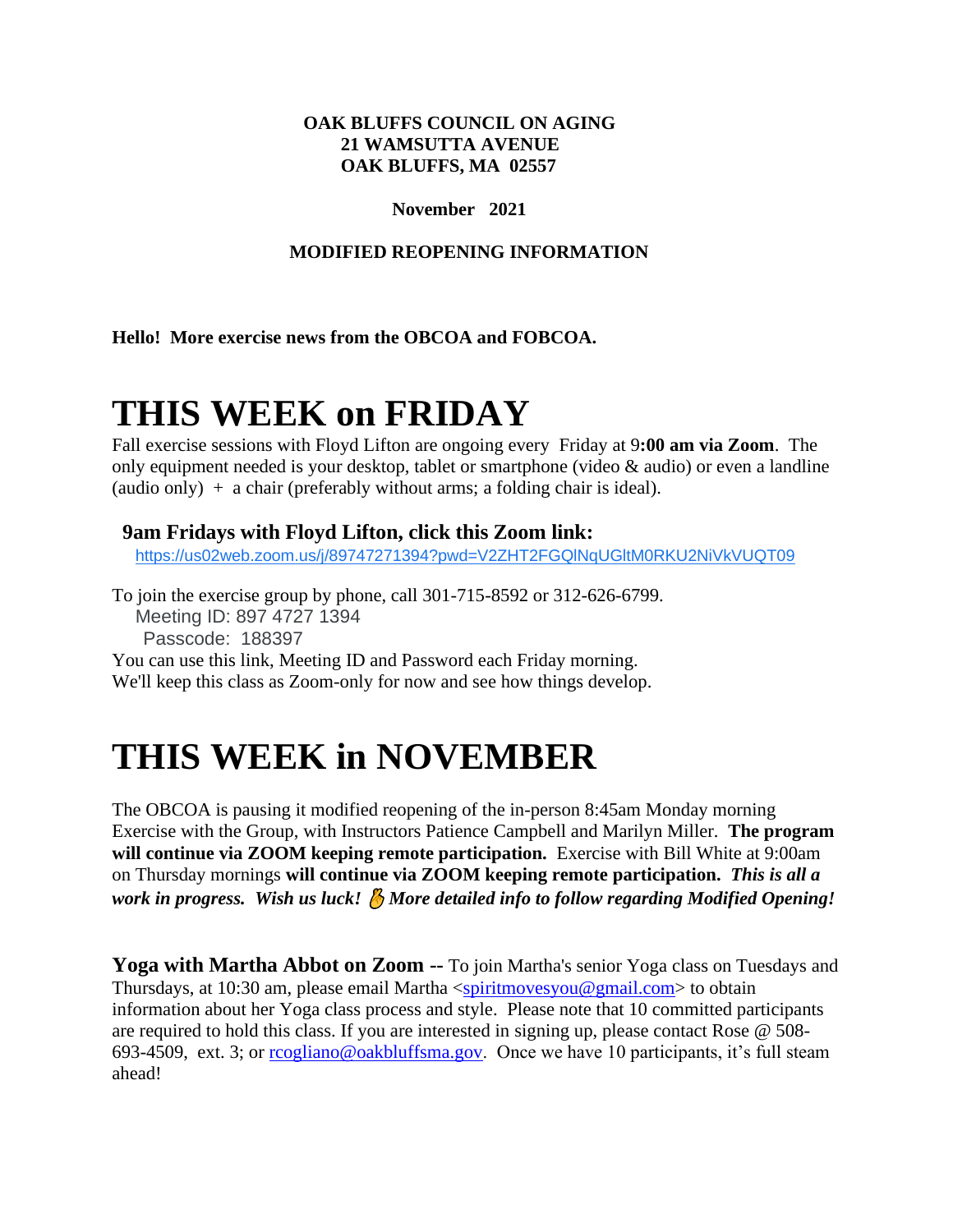### **OAK BLUFFS COUNCIL ON AGING 21 WAMSUTTA AVENUE OAK BLUFFS, MA 02557**

### **November 2021**

## **MODIFIED REOPENING INFORMATION**

**Hello! More exercise news from the OBCOA and FOBCOA.**

# **THIS WEEK on FRIDAY**

Fall exercise sessions with Floyd Lifton are ongoing every Friday at 9**:00 am via Zoom**. The only equipment needed is your desktop, tablet or smartphone (video & audio) or even a landline (audio only)  $+$  a chair (preferably without arms; a folding chair is ideal).

# **9am Fridays with Floyd Lifton, click this Zoom link:**

[https://us02web.zoom.us/j/89747271394?pwd=V2ZHT2FGQlNqUGltM0RKU2NiVkVUQT09](https://www.google.com/url?q=https://us02web.zoom.us/j/89747271394?pwd%3DV2ZHT2FGQlNqUGltM0RKU2NiVkVUQT09&sa=D&source=calendar&usd=2&usg=AOvVaw3RbAIIDHwMf-v1_-xkBDy4)

To join the exercise group by phone, call 301-715-8592 or 312-626-6799. Meeting ID: 897 4727 1394 Passcode: 188397 You can use this link, Meeting ID and Password each Friday morning. We'll keep this class as Zoom-only for now and see how things develop.

# **THIS WEEK in NOVEMBER**

The OBCOA is pausing it modified reopening of the in-person 8:45am Monday morning Exercise with the Group, with Instructors Patience Campbell and Marilyn Miller. **The program will continue via ZOOM keeping remote participation.** Exercise with Bill White at 9:00am on Thursday mornings **will continue via ZOOM keeping remote participation.** *This is all a work in progress. Wish us luck! More detailed info to follow regarding Modified Opening!*

**Yoga with Martha Abbot on Zoom --** To join Martha's senior Yoga class on Tuesdays and Thursdays, at 10:30 am, please email Martha [<spiritmovesyou@gmail.com>](mailto:spiritmovesyou@gmail.com) to obtain information about her Yoga class process and style. Please note that 10 committed participants are required to hold this class. If you are interested in signing up, please contact Rose @ 508- 693-4509, ext. 3; or [rcogliano@oakbluffsma.gov.](mailto:rcogliano@oakbluffsma.gov) Once we have 10 participants, it's full steam ahead!